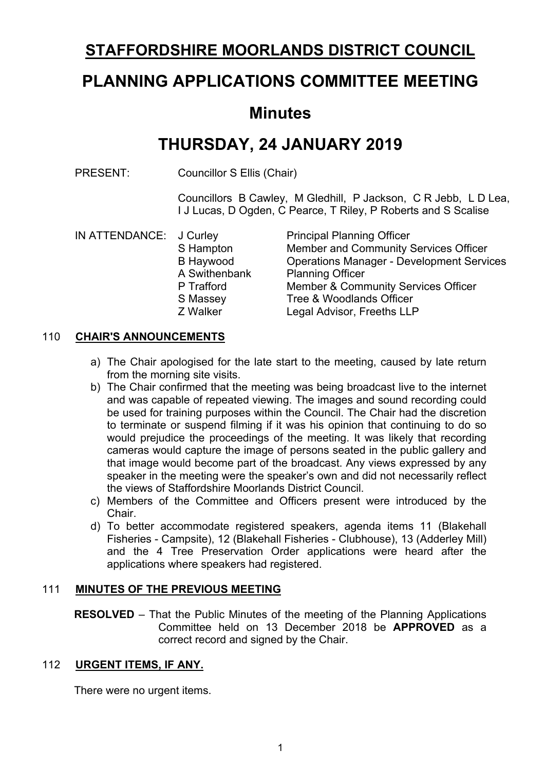# **STAFFORDSHIRE MOORLANDS DISTRICT COUNCIL**

# **PLANNING APPLICATIONS COMMITTEE MEETING**

# **Minutes**

# **THURSDAY, 24 JANUARY 2019**

PRESENT: Councillor S Ellis (Chair)

Councillors B Cawley, M Gledhill, P Jackson, C R Jebb, L D Lea, I J Lucas, D Ogden, C Pearce, T Riley, P Roberts and S Scalise

| IN ATTENDANCE: J Curley |               | <b>Principal Planning Officer</b>                |
|-------------------------|---------------|--------------------------------------------------|
|                         | S Hampton     | Member and Community Services Officer            |
|                         | B Haywood     | <b>Operations Manager - Development Services</b> |
|                         | A Swithenbank | <b>Planning Officer</b>                          |
|                         | P Trafford    | <b>Member &amp; Community Services Officer</b>   |
|                         | S Massey      | Tree & Woodlands Officer                         |
|                         | Z Walker      | Legal Advisor, Freeths LLP                       |
|                         |               |                                                  |

# 110 **CHAIR'S ANNOUNCEMENTS**

- a) The Chair apologised for the late start to the meeting, caused by late return from the morning site visits.
- b) The Chair confirmed that the meeting was being broadcast live to the internet and was capable of repeated viewing. The images and sound recording could be used for training purposes within the Council. The Chair had the discretion to terminate or suspend filming if it was his opinion that continuing to do so would prejudice the proceedings of the meeting. It was likely that recording cameras would capture the image of persons seated in the public gallery and that image would become part of the broadcast. Any views expressed by any speaker in the meeting were the speaker's own and did not necessarily reflect the views of Staffordshire Moorlands District Council.
- c) Members of the Committee and Officers present were introduced by the Chair.
- d) To better accommodate registered speakers, agenda items 11 (Blakehall Fisheries - Campsite), 12 (Blakehall Fisheries - Clubhouse), 13 (Adderley Mill) and the 4 Tree Preservation Order applications were heard after the applications where speakers had registered.

# 111 **MINUTES OF THE PREVIOUS MEETING**

**RESOLVED** – That the Public Minutes of the meeting of the Planning Applications Committee held on 13 December 2018 be **APPROVED** as a correct record and signed by the Chair.

# 112 **URGENT ITEMS, IF ANY.**

There were no urgent items.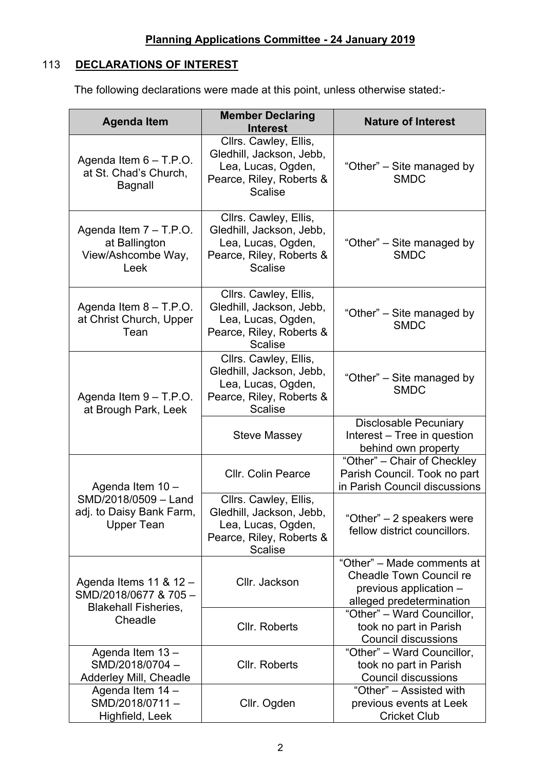# 113 **DECLARATIONS OF INTEREST**

The following declarations were made at this point, unless otherwise stated:-

| <b>Agenda Item</b>                                                            | <b>Member Declaring</b><br><b>Interest</b>                                                                            | <b>Nature of Interest</b>                                                                                          |  |  |
|-------------------------------------------------------------------------------|-----------------------------------------------------------------------------------------------------------------------|--------------------------------------------------------------------------------------------------------------------|--|--|
| Agenda Item $6 - T.P.O.$<br>at St. Chad's Church,<br><b>Bagnall</b>           | Cllrs. Cawley, Ellis,<br>Gledhill, Jackson, Jebb,<br>Lea, Lucas, Ogden,<br>Pearce, Riley, Roberts &<br><b>Scalise</b> | "Other" – Site managed by<br><b>SMDC</b>                                                                           |  |  |
| Agenda Item $7 - T.P.O.$<br>at Ballington<br>View/Ashcombe Way,<br>Leek       | Cllrs. Cawley, Ellis,<br>Gledhill, Jackson, Jebb,<br>Lea, Lucas, Ogden,<br>Pearce, Riley, Roberts &<br><b>Scalise</b> | "Other" – Site managed by<br><b>SMDC</b>                                                                           |  |  |
| Agenda Item $8 - T.P.O.$<br>at Christ Church, Upper<br>Tean                   | Cllrs. Cawley, Ellis,<br>Gledhill, Jackson, Jebb,<br>Lea, Lucas, Ogden,<br>Pearce, Riley, Roberts &<br><b>Scalise</b> | "Other" – Site managed by<br><b>SMDC</b>                                                                           |  |  |
| Agenda Item $9 - T.P.O.$<br>at Brough Park, Leek                              | Cllrs. Cawley, Ellis,<br>Gledhill, Jackson, Jebb,<br>Lea, Lucas, Ogden,<br>Pearce, Riley, Roberts &<br><b>Scalise</b> | "Other" – Site managed by<br><b>SMDC</b>                                                                           |  |  |
|                                                                               | Steve Massey                                                                                                          | <b>Disclosable Pecuniary</b><br>Interest – Tree in question<br>behind own property                                 |  |  |
| Agenda Item 10 -                                                              | <b>Cllr. Colin Pearce</b>                                                                                             | "Other" - Chair of Checkley<br>Parish Council. Took no part<br>in Parish Council discussions                       |  |  |
| SMD/2018/0509 - Land<br>adj. to Daisy Bank Farm,<br><b>Upper Tean</b>         | Cllrs. Cawley, Ellis,<br>Gledhill, Jackson, Jebb,<br>Lea, Lucas, Ogden,<br>Pearce, Riley, Roberts &<br><b>Scalise</b> | "Other" - 2 speakers were<br>fellow district councillors.                                                          |  |  |
| Agenda Items 11 & 12 -<br>SMD/2018/0677 & 705-<br><b>Blakehall Fisheries,</b> | Cllr. Jackson                                                                                                         | "Other" - Made comments at<br><b>Cheadle Town Council re</b><br>previous application -<br>alleged predetermination |  |  |
| Cheadle                                                                       | Cllr. Roberts                                                                                                         | "Other" - Ward Councillor,<br>took no part in Parish<br><b>Council discussions</b>                                 |  |  |
| Agenda Item 13-<br>SMD/2018/0704-<br>Adderley Mill, Cheadle                   | Cllr. Roberts                                                                                                         | "Other" - Ward Councillor,<br>took no part in Parish<br><b>Council discussions</b>                                 |  |  |
| Agenda Item 14 -<br>SMD/2018/0711-<br>Highfield, Leek                         | Cllr. Ogden                                                                                                           | "Other" - Assisted with<br>previous events at Leek<br><b>Cricket Club</b>                                          |  |  |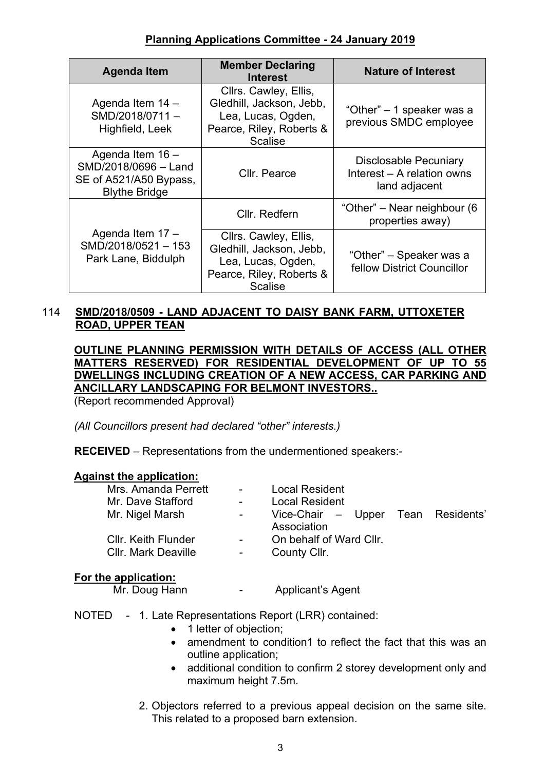# **Planning Applications Committee - 24 January 2019**

| <b>Agenda Item</b>                                                                         | <b>Member Declaring</b><br><b>Interest</b>                                                                            | <b>Nature of Interest</b>                                                   |  |
|--------------------------------------------------------------------------------------------|-----------------------------------------------------------------------------------------------------------------------|-----------------------------------------------------------------------------|--|
| Agenda Item 14 -<br>SMD/2018/0711-<br>Highfield, Leek                                      | Cllrs. Cawley, Ellis,<br>Gledhill, Jackson, Jebb,<br>Lea, Lucas, Ogden,<br>Pearce, Riley, Roberts &<br><b>Scalise</b> | "Other" – 1 speaker was a<br>previous SMDC employee                         |  |
| Agenda Item 16 -<br>SMD/2018/0696 - Land<br>SE of A521/A50 Bypass,<br><b>Blythe Bridge</b> | Cllr. Pearce                                                                                                          | <b>Disclosable Pecuniary</b><br>Interest – A relation owns<br>land adjacent |  |
|                                                                                            | Cllr. Redfern                                                                                                         | "Other" – Near neighbour (6<br>properties away)                             |  |
| Agenda Item 17 -<br>SMD/2018/0521-153<br>Park Lane, Biddulph                               | Cllrs. Cawley, Ellis,<br>Gledhill, Jackson, Jebb,<br>Lea, Lucas, Ogden,<br>Pearce, Riley, Roberts &<br><b>Scalise</b> | "Other" – Speaker was a<br>fellow District Councillor                       |  |

# 114 **SMD/2018/0509 - LAND ADJACENT TO DAISY BANK FARM, UTTOXETER ROAD, UPPER TEAN**

**OUTLINE PLANNING PERMISSION WITH DETAILS OF ACCESS (ALL OTHER MATTERS RESERVED) FOR RESIDENTIAL DEVELOPMENT OF UP TO 55 DWELLINGS INCLUDING CREATION OF A NEW ACCESS, CAR PARKING AND ANCILLARY LANDSCAPING FOR BELMONT INVESTORS..**

(Report recommended Approval)

*(All Councillors present had declared "other" interests.)*

**RECEIVED** – Representations from the undermentioned speakers:-

# **Against the application:**

| Mrs. Amanda Perrett        | $\sim 100$ | <b>Local Resident</b>              |  |
|----------------------------|------------|------------------------------------|--|
| Mr. Dave Stafford          | $\sim$     | <b>Local Resident</b>              |  |
| Mr. Nigel Marsh            | $\sim 100$ | Vice-Chair - Upper Tean Residents' |  |
|                            |            | Association                        |  |
| <b>Cllr. Keith Flunder</b> | $\sim 100$ | On behalf of Ward Cllr.            |  |
| <b>Cllr. Mark Deaville</b> | $\sim$     | County Cllr.                       |  |
|                            |            |                                    |  |

# **For the application:**

Mr. Doug Hann The Applicant's Agent

- NOTED 1. Late Representations Report (LRR) contained:
	- 1 letter of objection:
	- amendment to condition1 to reflect the fact that this was an outline application;
	- additional condition to confirm 2 storey development only and maximum height 7.5m.
	- 2. Objectors referred to a previous appeal decision on the same site. This related to a proposed barn extension.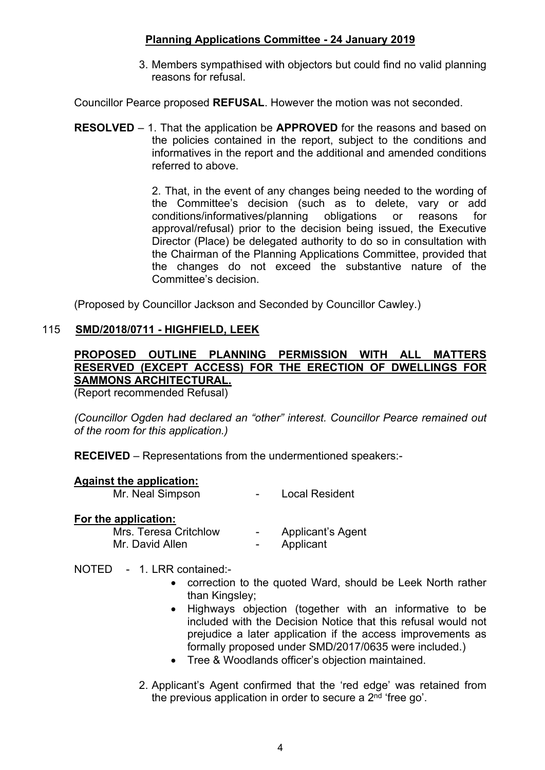# **Planning Applications Committee - 24 January 2019**

3. Members sympathised with objectors but could find no valid planning reasons for refusal.

Councillor Pearce proposed **REFUSAL**. However the motion was not seconded.

**RESOLVED** – 1. That the application be **APPROVED** for the reasons and based on the policies contained in the report, subject to the conditions and informatives in the report and the additional and amended conditions referred to above.

> 2. That, in the event of any changes being needed to the wording of the Committee's decision (such as to delete, vary or add conditions/informatives/planning obligations or reasons for approval/refusal) prior to the decision being issued, the Executive Director (Place) be delegated authority to do so in consultation with the Chairman of the Planning Applications Committee, provided that the changes do not exceed the substantive nature of the Committee's decision.

(Proposed by Councillor Jackson and Seconded by Councillor Cawley.)

# 115 **SMD/2018/0711 - HIGHFIELD, LEEK**

# **PROPOSED OUTLINE PLANNING PERMISSION WITH ALL MATTERS RESERVED (EXCEPT ACCESS) FOR THE ERECTION OF DWELLINGS FOR SAMMONS ARCHITECTURAL.**

(Report recommended Refusal)

*(Councillor Ogden had declared an "other" interest. Councillor Pearce remained out of the room for this application.)*

**RECEIVED** – Representations from the undermentioned speakers:-

#### **Against the application:**

Mr. Neal Simpson **-** Local Resident

#### **For the application:**

Mrs. Teresa Critchlow - Applicant's Agent Mr. David Allen **-** Applicant

# NOTED - 1. LRR contained:-

- correction to the quoted Ward, should be Leek North rather than Kingsley;
- Highways objection (together with an informative to be included with the Decision Notice that this refusal would not prejudice a later application if the access improvements as formally proposed under SMD/2017/0635 were included.)
- Tree & Woodlands officer's objection maintained.
- 2. Applicant's Agent confirmed that the 'red edge' was retained from the previous application in order to secure a 2<sup>nd</sup> 'free go'.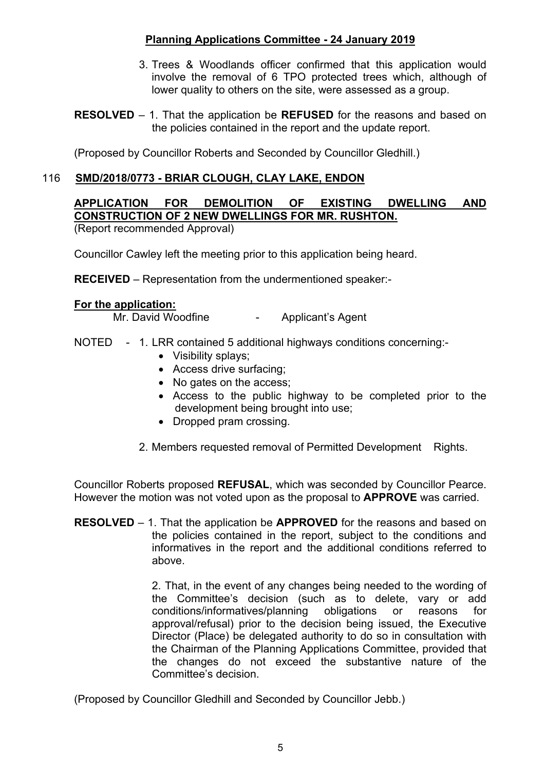# **Planning Applications Committee - 24 January 2019**

- 3. Trees & Woodlands officer confirmed that this application would involve the removal of 6 TPO protected trees which, although of lower quality to others on the site, were assessed as a group.
- **RESOLVED** 1. That the application be **REFUSED** for the reasons and based on the policies contained in the report and the update report.

(Proposed by Councillor Roberts and Seconded by Councillor Gledhill.)

# 116 **SMD/2018/0773 - BRIAR CLOUGH, CLAY LAKE, ENDON**

**APPLICATION FOR DEMOLITION OF EXISTING DWELLING AND CONSTRUCTION OF 2 NEW DWELLINGS FOR MR. RUSHTON.** (Report recommended Approval)

Councillor Cawley left the meeting prior to this application being heard.

**RECEIVED** – Representation from the undermentioned speaker:-

### **For the application:**

Mr. David Woodfine **-** Applicant's Agent

- NOTED 1. LRR contained 5 additional highways conditions concerning:-
	- Visibility splays:
	- Access drive surfacing;
	- No gates on the access;
	- Access to the public highway to be completed prior to the development being brought into use;
	- Dropped pram crossing.
	- 2. Members requested removal of Permitted Development Rights.

Councillor Roberts proposed **REFUSAL**, which was seconded by Councillor Pearce. However the motion was not voted upon as the proposal to **APPROVE** was carried.

**RESOLVED** – 1. That the application be **APPROVED** for the reasons and based on the policies contained in the report, subject to the conditions and informatives in the report and the additional conditions referred to above.

> 2. That, in the event of any changes being needed to the wording of the Committee's decision (such as to delete, vary or add conditions/informatives/planning obligations or reasons for approval/refusal) prior to the decision being issued, the Executive Director (Place) be delegated authority to do so in consultation with the Chairman of the Planning Applications Committee, provided that the changes do not exceed the substantive nature of the Committee's decision.

(Proposed by Councillor Gledhill and Seconded by Councillor Jebb.)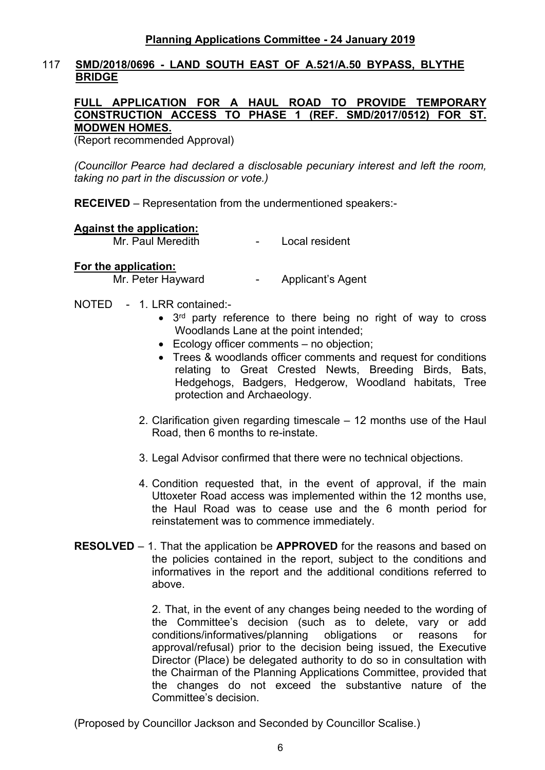# 117 **SMD/2018/0696 - LAND SOUTH EAST OF A.521/A.50 BYPASS, BLYTHE BRIDGE**

#### **FULL APPLICATION FOR A HAUL ROAD TO PROVIDE TEMPORARY CONSTRUCTION ACCESS TO PHASE 1 (REF. SMD/2017/0512) FOR ST. MODWEN HOMES.**

(Report recommended Approval)

*(Councillor Pearce had declared a disclosable pecuniary interest and left the room, taking no part in the discussion or vote.)*

**RECEIVED** – Representation from the undermentioned speakers:-

### **Against the application:**

Mr. Paul Meredith - Local resident

### **For the application:**

Mr. Peter Hayward **- Applicant's Agent** 

- NOTED 1. LRR contained:-
	- 3<sup>rd</sup> party reference to there being no right of way to cross Woodlands Lane at the point intended;
	- Ecology officer comments no objection;
	- Trees & woodlands officer comments and request for conditions relating to Great Crested Newts, Breeding Birds, Bats, Hedgehogs, Badgers, Hedgerow, Woodland habitats, Tree protection and Archaeology.
	- 2. Clarification given regarding timescale 12 months use of the Haul Road, then 6 months to re-instate.
	- 3. Legal Advisor confirmed that there were no technical objections.
	- 4. Condition requested that, in the event of approval, if the main Uttoxeter Road access was implemented within the 12 months use, the Haul Road was to cease use and the 6 month period for reinstatement was to commence immediately.
- **RESOLVED** 1. That the application be **APPROVED** for the reasons and based on the policies contained in the report, subject to the conditions and informatives in the report and the additional conditions referred to above.

2. That, in the event of any changes being needed to the wording of the Committee's decision (such as to delete, vary or add conditions/informatives/planning obligations or reasons for approval/refusal) prior to the decision being issued, the Executive Director (Place) be delegated authority to do so in consultation with the Chairman of the Planning Applications Committee, provided that the changes do not exceed the substantive nature of the Committee's decision.

(Proposed by Councillor Jackson and Seconded by Councillor Scalise.)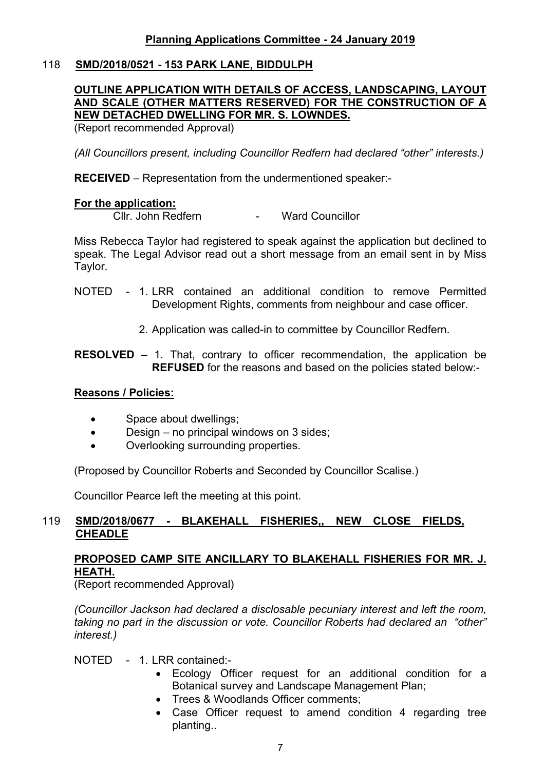# 118 **SMD/2018/0521 - 153 PARK LANE, BIDDULPH**

# **OUTLINE APPLICATION WITH DETAILS OF ACCESS, LANDSCAPING, LAYOUT AND SCALE (OTHER MATTERS RESERVED) FOR THE CONSTRUCTION OF A NEW DETACHED DWELLING FOR MR. S. LOWNDES.**

(Report recommended Approval)

*(All Councillors present, including Councillor Redfern had declared "other" interests.)*

**RECEIVED** – Representation from the undermentioned speaker:-

### **For the application:**

Cllr. John Redfern - Ward Councillor

Miss Rebecca Taylor had registered to speak against the application but declined to speak. The Legal Advisor read out a short message from an email sent in by Miss Taylor.

- NOTED 1. LRR contained an additional condition to remove Permitted Development Rights, comments from neighbour and case officer.
	- 2. Application was called-in to committee by Councillor Redfern.
- **RESOLVED** 1. That, contrary to officer recommendation, the application be **REFUSED** for the reasons and based on the policies stated below:-

# **Reasons / Policies:**

- Space about dwellings:
- Design no principal windows on 3 sides;
- Overlooking surrounding properties.

(Proposed by Councillor Roberts and Seconded by Councillor Scalise.)

Councillor Pearce left the meeting at this point.

### 119 **SMD/2018/0677 - BLAKEHALL FISHERIES,, NEW CLOSE FIELDS, CHEADLE**

# **PROPOSED CAMP SITE ANCILLARY TO BLAKEHALL FISHERIES FOR MR. J. HEATH.**

(Report recommended Approval)

*(Councillor Jackson had declared a disclosable pecuniary interest and left the room, taking no part in the discussion or vote. Councillor Roberts had declared an "other" interest.)*

NOTED - 1. LRR contained:

- Ecology Officer request for an additional condition for a Botanical survey and Landscape Management Plan;
- Trees & Woodlands Officer comments:
- Case Officer request to amend condition 4 regarding tree planting..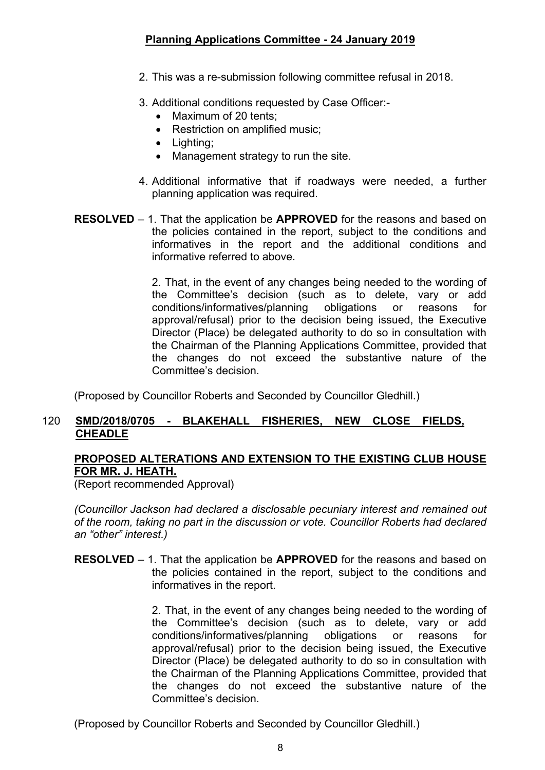- 2. This was a re-submission following committee refusal in 2018.
- 3. Additional conditions requested by Case Officer:-
	- Maximum of 20 tents:
	- Restriction on amplified music;
	- Lighting;
	- Management strategy to run the site.
- 4. Additional informative that if roadways were needed, a further planning application was required.
- **RESOLVED** 1. That the application be **APPROVED** for the reasons and based on the policies contained in the report, subject to the conditions and informatives in the report and the additional conditions and informative referred to above.

2. That, in the event of any changes being needed to the wording of the Committee's decision (such as to delete, vary or add conditions/informatives/planning obligations or reasons for approval/refusal) prior to the decision being issued, the Executive Director (Place) be delegated authority to do so in consultation with the Chairman of the Planning Applications Committee, provided that the changes do not exceed the substantive nature of the Committee's decision.

(Proposed by Councillor Roberts and Seconded by Councillor Gledhill.)

# 120 **SMD/2018/0705 - BLAKEHALL FISHERIES, NEW CLOSE FIELDS, CHEADLE**

# **PROPOSED ALTERATIONS AND EXTENSION TO THE EXISTING CLUB HOUSE FOR MR. J. HEATH.**

(Report recommended Approval)

*(Councillor Jackson had declared a disclosable pecuniary interest and remained out of the room, taking no part in the discussion or vote. Councillor Roberts had declared an "other" interest.)*

**RESOLVED** – 1. That the application be **APPROVED** for the reasons and based on the policies contained in the report, subject to the conditions and informatives in the report.

> 2. That, in the event of any changes being needed to the wording of the Committee's decision (such as to delete, vary or add conditions/informatives/planning obligations or reasons for approval/refusal) prior to the decision being issued, the Executive Director (Place) be delegated authority to do so in consultation with the Chairman of the Planning Applications Committee, provided that the changes do not exceed the substantive nature of the Committee's decision.

(Proposed by Councillor Roberts and Seconded by Councillor Gledhill.)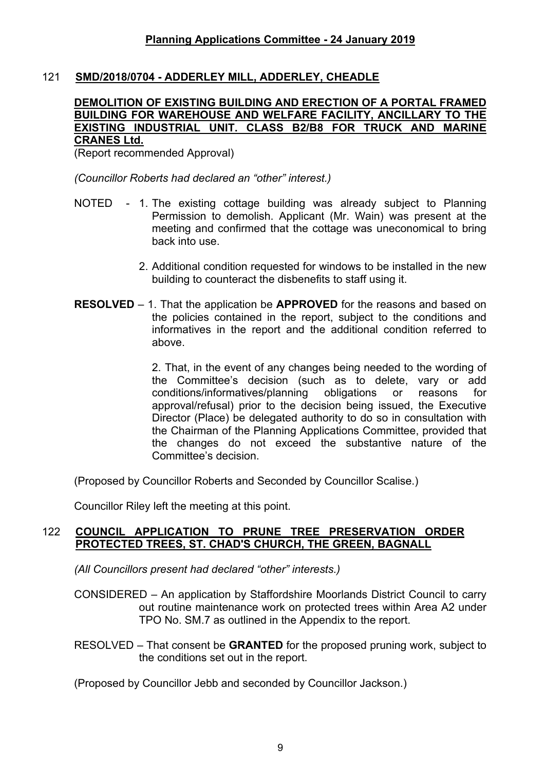# 121 **SMD/2018/0704 - ADDERLEY MILL, ADDERLEY, CHEADLE**

#### **DEMOLITION OF EXISTING BUILDING AND ERECTION OF A PORTAL FRAMED BUILDING FOR WAREHOUSE AND WELFARE FACILITY, ANCILLARY TO THE EXISTING INDUSTRIAL UNIT. CLASS B2/B8 FOR TRUCK AND MARINE CRANES Ltd.**

(Report recommended Approval)

*(Councillor Roberts had declared an "other" interest.)*

- NOTED 1. The existing cottage building was already subject to Planning Permission to demolish. Applicant (Mr. Wain) was present at the meeting and confirmed that the cottage was uneconomical to bring back into use.
	- 2. Additional condition requested for windows to be installed in the new building to counteract the disbenefits to staff using it.
- **RESOLVED** 1. That the application be **APPROVED** for the reasons and based on the policies contained in the report, subject to the conditions and informatives in the report and the additional condition referred to above.

2. That, in the event of any changes being needed to the wording of the Committee's decision (such as to delete, vary or add conditions/informatives/planning obligations or reasons for approval/refusal) prior to the decision being issued, the Executive Director (Place) be delegated authority to do so in consultation with the Chairman of the Planning Applications Committee, provided that the changes do not exceed the substantive nature of the Committee's decision.

(Proposed by Councillor Roberts and Seconded by Councillor Scalise.)

Councillor Riley left the meeting at this point.

# 122 **COUNCIL APPLICATION TO PRUNE TREE PRESERVATION ORDER PROTECTED TREES, ST. CHAD'S CHURCH, THE GREEN, BAGNALL**

*(All Councillors present had declared "other" interests.)*

CONSIDERED – An application by Staffordshire Moorlands District Council to carry out routine maintenance work on protected trees within Area A2 under TPO No. SM.7 as outlined in the Appendix to the report.

RESOLVED – That consent be **GRANTED** for the proposed pruning work, subject to the conditions set out in the report.

(Proposed by Councillor Jebb and seconded by Councillor Jackson.)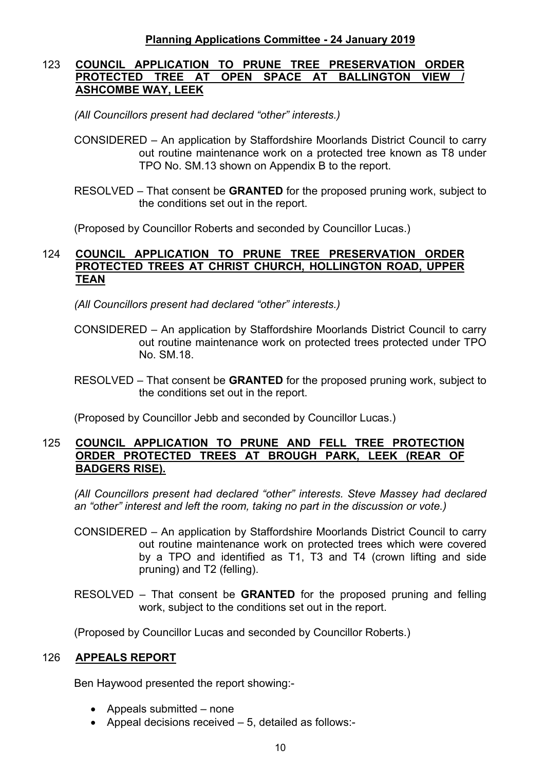# 123 **COUNCIL APPLICATION TO PRUNE TREE PRESERVATION ORDER PROTECTED TREE AT OPEN SPACE AT BALLINGTON VIEW / ASHCOMBE WAY, LEEK**

*(All Councillors present had declared "other" interests.)*

- CONSIDERED An application by Staffordshire Moorlands District Council to carry out routine maintenance work on a protected tree known as T8 under TPO No. SM.13 shown on Appendix B to the report.
- RESOLVED That consent be **GRANTED** for the proposed pruning work, subject to the conditions set out in the report.

(Proposed by Councillor Roberts and seconded by Councillor Lucas.)

# 124 **COUNCIL APPLICATION TO PRUNE TREE PRESERVATION ORDER PROTECTED TREES AT CHRIST CHURCH, HOLLINGTON ROAD, UPPER TEAN**

*(All Councillors present had declared "other" interests.)*

- CONSIDERED An application by Staffordshire Moorlands District Council to carry out routine maintenance work on protected trees protected under TPO No. SM.18.
- RESOLVED That consent be **GRANTED** for the proposed pruning work, subject to the conditions set out in the report.

(Proposed by Councillor Jebb and seconded by Councillor Lucas.)

# 125 **COUNCIL APPLICATION TO PRUNE AND FELL TREE PROTECTION ORDER PROTECTED TREES AT BROUGH PARK, LEEK (REAR OF BADGERS RISE).**

*(All Councillors present had declared "other" interests. Steve Massey had declared an "other" interest and left the room, taking no part in the discussion or vote.)*

- CONSIDERED An application by Staffordshire Moorlands District Council to carry out routine maintenance work on protected trees which were covered by a TPO and identified as T1, T3 and T4 (crown lifting and side pruning) and T2 (felling).
- RESOLVED That consent be **GRANTED** for the proposed pruning and felling work, subject to the conditions set out in the report.

(Proposed by Councillor Lucas and seconded by Councillor Roberts.)

# 126 **APPEALS REPORT**

Ben Haywood presented the report showing:-

- Appeals submitted none
- Appeal decisions received  $-5$ , detailed as follows:-